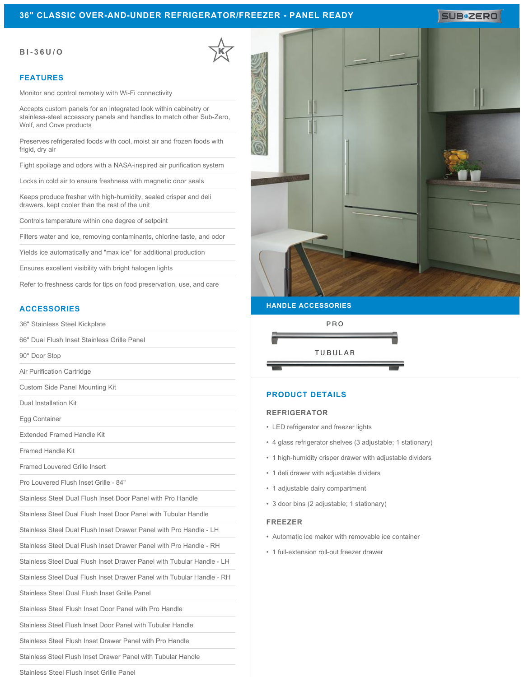# **36" CLASSIC OVER-AND-UNDER REFRIGERATOR/FREEZER - PANEL READY**

# SUB**\*ZERO**

### **BI-36U/O**

### **FEATURES**

Monitor and control remotely with Wi-Fi connectivity

Accepts custom panels for an integrated look within cabinetry or stainless-steel accessory panels and handles to match other Sub-Zero, Wolf, and Cove products

Preserves refrigerated foods with cool, moist air and frozen foods with frigid, dry air

Fight spoilage and odors with a NASA-inspired air purification system

Locks in cold air to ensure freshness with magnetic door seals

Keeps produce fresher with high-humidity, sealed crisper and deli drawers, kept cooler than the rest of the unit

Controls temperature within one degree of setpoint

Filters water and ice, removing contaminants, chlorine taste, and odor

Yields ice automatically and "max ice" for additional production

Ensures excellent visibility with bright halogen lights

Refer to freshness cards for tips on food preservation, use, and care

# **ACCESSORIES**

36" Stainless Steel Kickplate

66" Dual Flush Inset Stainless Grille Panel

90° Door Stop

Air Purification Cartridge

Custom Side Panel Mounting Kit

Dual Installation Kit

Egg Container

Extended Framed Handle Kit

Framed Handle Kit

Framed Louvered Grille Insert

Pro Louvered Flush Inset Grille - 84"

Stainless Steel Dual Flush Inset Door Panel with Pro Handle

Stainless Steel Dual Flush Inset Door Panel with Tubular Handle

Stainless Steel Dual Flush Inset Drawer Panel with Pro Handle - LH

Stainless Steel Dual Flush Inset Drawer Panel with Pro Handle - RH

Stainless Steel Dual Flush Inset Drawer Panel with Tubular Handle - LH

Stainless Steel Dual Flush Inset Drawer Panel with Tubular Handle - RH

Stainless Steel Dual Flush Inset Grille Panel

Stainless Steel Flush Inset Door Panel with Pro Handle

Stainless Steel Flush Inset Door Panel with Tubular Handle

Stainless Steel Flush Inset Drawer Panel with Pro Handle

Stainless Steel Flush Inset Drawer Panel with Tubular Handle

Stainless Steel Flush Inset Grille Panel



#### **HANDLE ACCESSORIES**



# **PRODUCT DETAILS**

#### **REFRIGERATOR**

- LED refrigerator and freezer lights
- 4 glass refrigerator shelves (3 adjustable; 1 stationary)
- 1 high-humidity crisper drawer with adjustable dividers
- 1 deli drawer with adjustable dividers
- 1 adjustable dairy compartment
- 3 door bins (2 adjustable; 1 stationary)

#### **FREEZER**

- Automatic ice maker with removable ice container
- 1 full-extension roll-out freezer drawer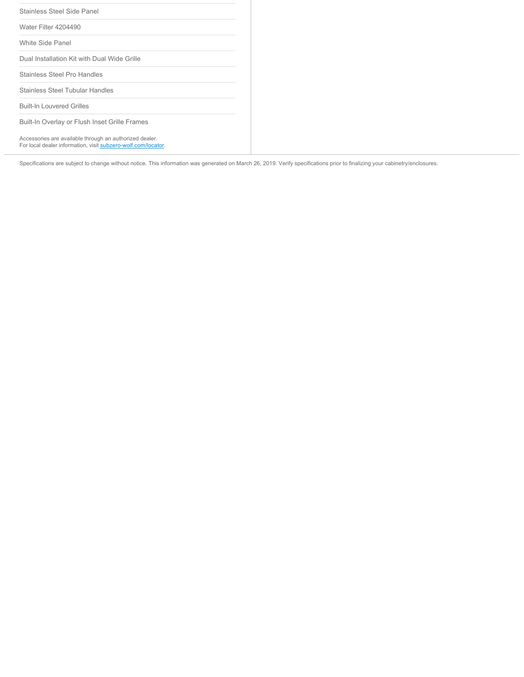| Stainless Steel Side Panel                                                                                               |  |
|--------------------------------------------------------------------------------------------------------------------------|--|
| Water Filter 4204490                                                                                                     |  |
| White Side Panel                                                                                                         |  |
| Dual Installation Kit with Dual Wide Grille                                                                              |  |
| Stainless Steel Pro Handles                                                                                              |  |
| Stainless Steel Tubular Handles                                                                                          |  |
| <b>Built-In Louvered Grilles</b>                                                                                         |  |
| Built-In Overlay or Flush Inset Grille Frames                                                                            |  |
| Accessories are available through an authorized dealer.<br>For local dealer information, visit subzero-wolf.com/locator. |  |

Specifications are subject to change without notice. This information was generated on March 26, 2019. Verify specifications prior to finalizing your cabinetry/enclosures.